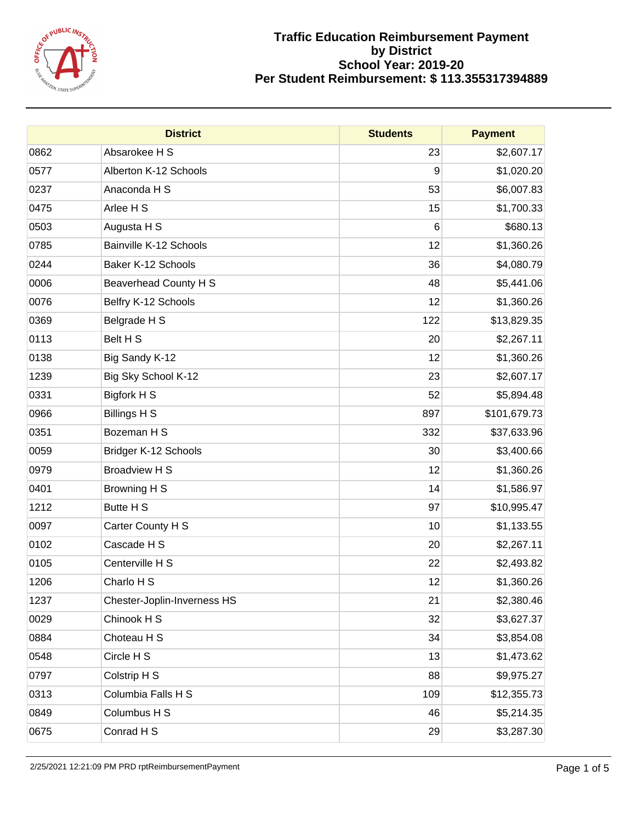

|      | <b>District</b>             | <b>Students</b> | <b>Payment</b> |
|------|-----------------------------|-----------------|----------------|
| 0862 | Absarokee H S               | 23              | \$2,607.17     |
| 0577 | Alberton K-12 Schools       | 9               | \$1,020.20     |
| 0237 | Anaconda H S                | 53              | \$6,007.83     |
| 0475 | Arlee H S                   | 15              | \$1,700.33     |
| 0503 | Augusta H S                 | 6               | \$680.13       |
| 0785 | Bainville K-12 Schools      | 12              | \$1,360.26     |
| 0244 | Baker K-12 Schools          | 36              | \$4,080.79     |
| 0006 | Beaverhead County H S       | 48              | \$5,441.06     |
| 0076 | Belfry K-12 Schools         | 12              | \$1,360.26     |
| 0369 | Belgrade H S                | 122             | \$13,829.35    |
| 0113 | Belt H S                    | 20              | \$2,267.11     |
| 0138 | Big Sandy K-12              | 12              | \$1,360.26     |
| 1239 | Big Sky School K-12         | 23              | \$2,607.17     |
| 0331 | Bigfork H S                 | 52              | \$5,894.48     |
| 0966 | <b>Billings H S</b>         | 897             | \$101,679.73   |
| 0351 | Bozeman H S                 | 332             | \$37,633.96    |
| 0059 | Bridger K-12 Schools        | 30              | \$3,400.66     |
| 0979 | <b>Broadview H S</b>        | 12              | \$1,360.26     |
| 0401 | Browning H S                | 14              | \$1,586.97     |
| 1212 | Butte H S                   | 97              | \$10,995.47    |
| 0097 | Carter County H S           | 10              | \$1,133.55     |
| 0102 | Cascade H S                 | 20              | \$2,267.11     |
| 0105 | Centerville H S             | 22              | \$2,493.82     |
| 1206 | Charlo H S                  | 12              | \$1,360.26     |
| 1237 | Chester-Joplin-Inverness HS | 21              | \$2,380.46     |
| 0029 | Chinook H S                 | 32              | \$3,627.37     |
| 0884 | Choteau H S                 | 34              | \$3,854.08     |
| 0548 | Circle H S                  | 13              | \$1,473.62     |
| 0797 | Colstrip H S                | 88              | \$9,975.27     |
| 0313 | Columbia Falls H S          | 109             | \$12,355.73    |
| 0849 | Columbus H S                | 46              | \$5,214.35     |
| 0675 | Conrad H S                  | 29              | \$3,287.30     |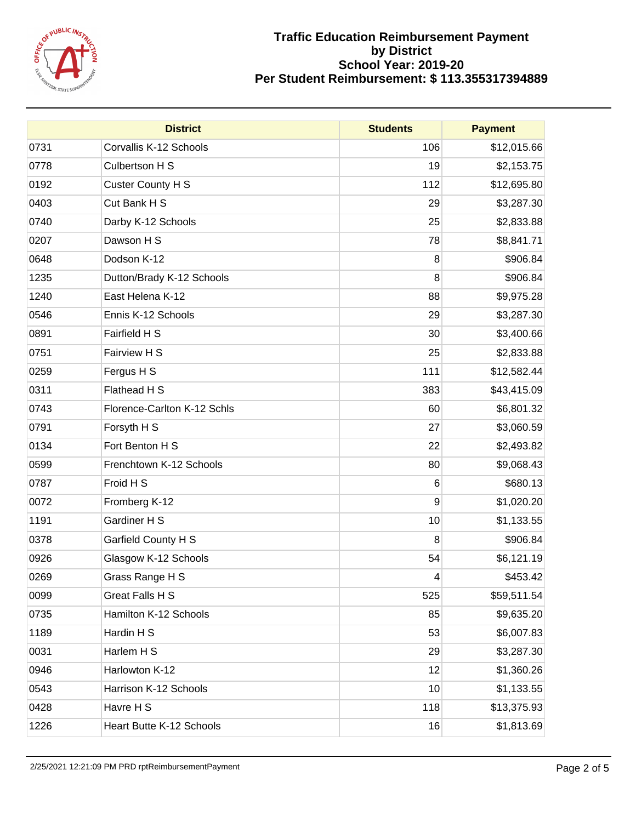

|      | <b>District</b>             | <b>Students</b> | <b>Payment</b> |
|------|-----------------------------|-----------------|----------------|
| 0731 | Corvallis K-12 Schools      | 106             | \$12,015.66    |
| 0778 | Culbertson H S              | 19              | \$2,153.75     |
| 0192 | <b>Custer County H S</b>    | 112             | \$12,695.80    |
| 0403 | Cut Bank H S                | 29              | \$3,287.30     |
| 0740 | Darby K-12 Schools          | 25              | \$2,833.88     |
| 0207 | Dawson H S                  | 78              | \$8,841.71     |
| 0648 | Dodson K-12                 | 8               | \$906.84       |
| 1235 | Dutton/Brady K-12 Schools   | 8               | \$906.84       |
| 1240 | East Helena K-12            | 88              | \$9,975.28     |
| 0546 | Ennis K-12 Schools          | 29              | \$3,287.30     |
| 0891 | Fairfield H S               | 30              | \$3,400.66     |
| 0751 | Fairview H S                | 25              | \$2,833.88     |
| 0259 | Fergus H S                  | 111             | \$12,582.44    |
| 0311 | Flathead H S                | 383             | \$43,415.09    |
| 0743 | Florence-Carlton K-12 Schls | 60              | \$6,801.32     |
| 0791 | Forsyth H S                 | 27              | \$3,060.59     |
| 0134 | Fort Benton H S             | 22              | \$2,493.82     |
| 0599 | Frenchtown K-12 Schools     | 80              | \$9,068.43     |
| 0787 | Froid H S                   | 6               | \$680.13       |
| 0072 | Fromberg K-12               | 9               | \$1,020.20     |
| 1191 | Gardiner H S                | 10              | \$1,133.55     |
| 0378 | Garfield County H S         | 8               | \$906.84       |
| 0926 | Glasgow K-12 Schools        | 54              | \$6,121.19     |
| 0269 | Grass Range H S             | 4               | \$453.42       |
| 0099 | Great Falls H S             | 525             | \$59,511.54    |
| 0735 | Hamilton K-12 Schools       | 85              | \$9,635.20     |
| 1189 | Hardin H S                  | 53              | \$6,007.83     |
| 0031 | Harlem H S                  | 29              | \$3,287.30     |
| 0946 | Harlowton K-12              | 12              | \$1,360.26     |
| 0543 | Harrison K-12 Schools       | 10              | \$1,133.55     |
| 0428 | Havre H S                   | 118             | \$13,375.93    |
| 1226 | Heart Butte K-12 Schools    | 16              | \$1,813.69     |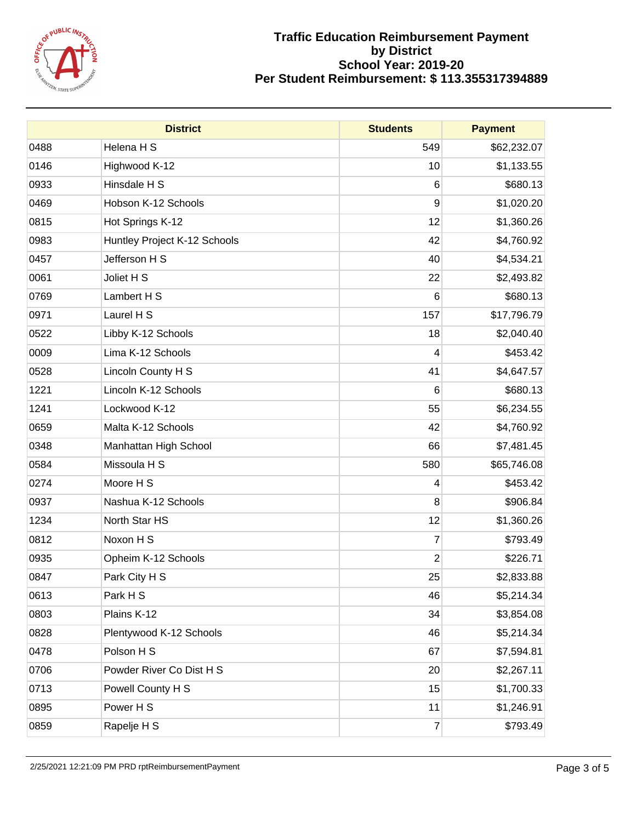

|      | <b>District</b>              | <b>Students</b> | <b>Payment</b> |
|------|------------------------------|-----------------|----------------|
| 0488 | Helena H S                   | 549             | \$62,232.07    |
| 0146 | Highwood K-12                | 10              | \$1,133.55     |
| 0933 | Hinsdale H S                 | 6               | \$680.13       |
| 0469 | Hobson K-12 Schools          | 9               | \$1,020.20     |
| 0815 | Hot Springs K-12             | 12              | \$1,360.26     |
| 0983 | Huntley Project K-12 Schools | 42              | \$4,760.92     |
| 0457 | Jefferson H S                | 40              | \$4,534.21     |
| 0061 | Joliet H S                   | 22              | \$2,493.82     |
| 0769 | Lambert H S                  | 6               | \$680.13       |
| 0971 | Laurel H S                   | 157             | \$17,796.79    |
| 0522 | Libby K-12 Schools           | 18              | \$2,040.40     |
| 0009 | Lima K-12 Schools            | 4               | \$453.42       |
| 0528 | Lincoln County H S           | 41              | \$4,647.57     |
| 1221 | Lincoln K-12 Schools         | 6               | \$680.13       |
| 1241 | Lockwood K-12                | 55              | \$6,234.55     |
| 0659 | Malta K-12 Schools           | 42              | \$4,760.92     |
| 0348 | Manhattan High School        | 66              | \$7,481.45     |
| 0584 | Missoula H S                 | 580             | \$65,746.08    |
| 0274 | Moore H S                    | 4               | \$453.42       |
| 0937 | Nashua K-12 Schools          | 8               | \$906.84       |
| 1234 | North Star HS                | 12              | \$1,360.26     |
| 0812 | Noxon H S                    | $\overline{7}$  | \$793.49       |
| 0935 | Opheim K-12 Schools          | $\overline{2}$  | \$226.71       |
| 0847 | Park City H S                | 25              | \$2,833.88     |
| 0613 | Park H S                     | 46              | \$5,214.34     |
| 0803 | Plains K-12                  | 34              | \$3,854.08     |
| 0828 | Plentywood K-12 Schools      | 46              | \$5,214.34     |
| 0478 | Polson H S                   | 67              | \$7,594.81     |
| 0706 | Powder River Co Dist H S     | 20              | \$2,267.11     |
| 0713 | Powell County H S            | 15              | \$1,700.33     |
| 0895 | Power H S                    | 11              | \$1,246.91     |
| 0859 | Rapelje H S                  | $\overline{7}$  | \$793.49       |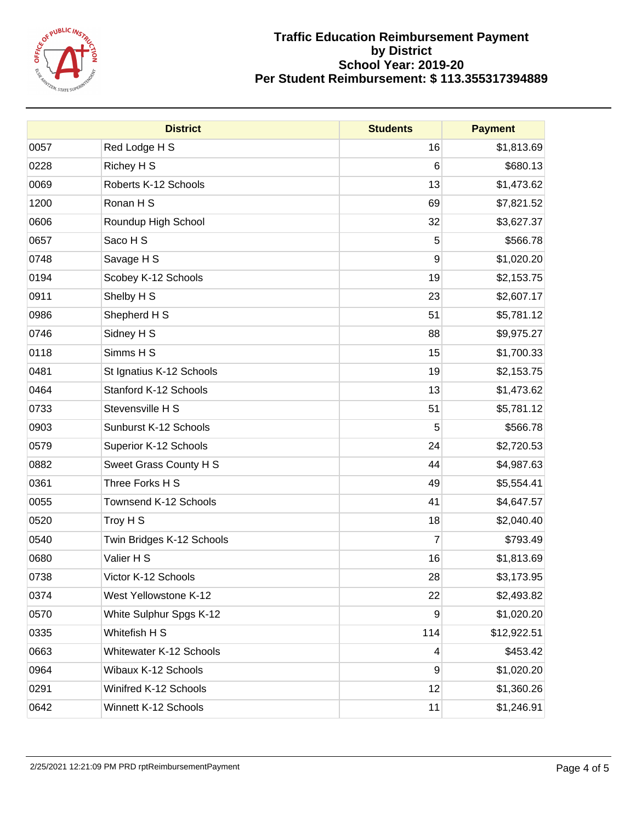

|      | <b>District</b>                | <b>Students</b> | <b>Payment</b> |
|------|--------------------------------|-----------------|----------------|
| 0057 | Red Lodge H S                  | 16              | \$1,813.69     |
| 0228 | Richey H S                     | 6               | \$680.13       |
| 0069 | Roberts K-12 Schools           | 13              | \$1,473.62     |
| 1200 | Ronan H S                      | 69              | \$7,821.52     |
| 0606 | Roundup High School            | 32              | \$3,627.37     |
| 0657 | Saco H S                       | 5               | \$566.78       |
| 0748 | Savage H S                     | 9               | \$1,020.20     |
| 0194 | Scobey K-12 Schools            | 19              | \$2,153.75     |
| 0911 | Shelby H S                     | 23              | \$2,607.17     |
| 0986 | Shepherd H S                   | 51              | \$5,781.12     |
| 0746 | Sidney H S                     | 88              | \$9,975.27     |
| 0118 | Simms H S                      | 15              | \$1,700.33     |
| 0481 | St Ignatius K-12 Schools       | 19              | \$2,153.75     |
| 0464 | Stanford K-12 Schools          | 13              | \$1,473.62     |
| 0733 | Stevensville H S               | 51              | \$5,781.12     |
| 0903 | Sunburst K-12 Schools          | 5               | \$566.78       |
| 0579 | Superior K-12 Schools          | 24              | \$2,720.53     |
| 0882 | Sweet Grass County H S         | 44              | \$4,987.63     |
| 0361 | Three Forks H S                | 49              | \$5,554.41     |
| 0055 | Townsend K-12 Schools          | 41              | \$4,647.57     |
| 0520 | Troy H S                       | 18              | \$2,040.40     |
| 0540 | Twin Bridges K-12 Schools      | $\overline{7}$  | \$793.49       |
| 0680 | Valier H S                     | 16              | \$1,813.69     |
| 0738 | Victor K-12 Schools            | 28              | \$3,173.95     |
| 0374 | West Yellowstone K-12          | 22              | \$2,493.82     |
| 0570 | White Sulphur Spgs K-12        | 9               | \$1,020.20     |
| 0335 | Whitefish H S                  | 114             | \$12,922.51    |
| 0663 | <b>Whitewater K-12 Schools</b> | 4               | \$453.42       |
| 0964 | Wibaux K-12 Schools            | 9               | \$1,020.20     |
| 0291 | Winifred K-12 Schools          | 12              | \$1,360.26     |
| 0642 | Winnett K-12 Schools           | 11              | \$1,246.91     |